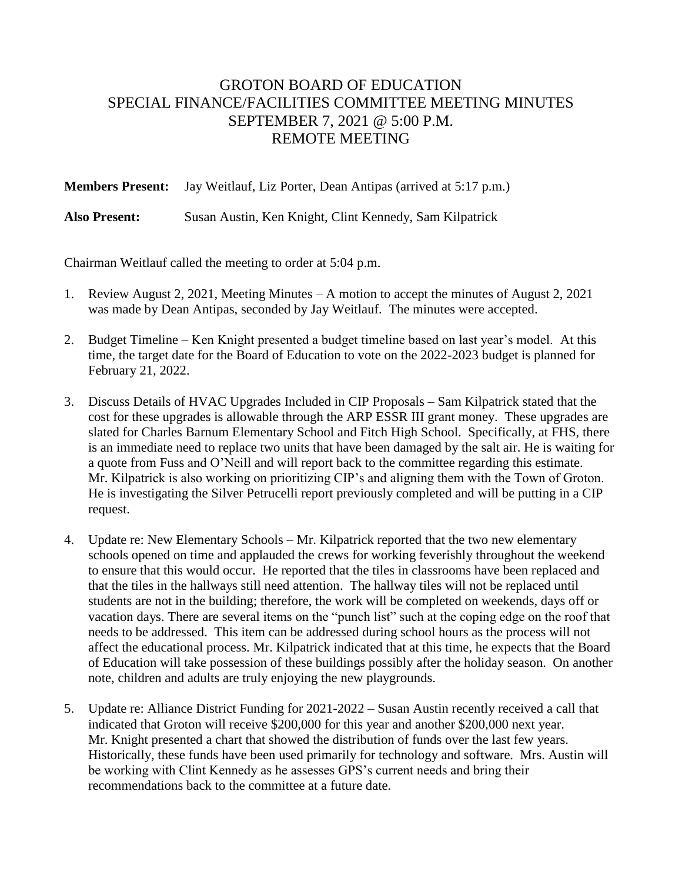## GROTON BOARD OF EDUCATION SPECIAL FINANCE/FACILITIES COMMITTEE MEETING MINUTES SEPTEMBER 7, 2021 @ 5:00 P.M. REMOTE MEETING

**Members Present:** Jay Weitlauf, Liz Porter, Dean Antipas (arrived at 5:17 p.m.)

**Also Present:** Susan Austin, Ken Knight, Clint Kennedy, Sam Kilpatrick

Chairman Weitlauf called the meeting to order at 5:04 p.m.

- 1. Review August 2, 2021, Meeting Minutes A motion to accept the minutes of August 2, 2021 was made by Dean Antipas, seconded by Jay Weitlauf. The minutes were accepted.
- 2. Budget Timeline Ken Knight presented a budget timeline based on last year's model. At this time, the target date for the Board of Education to vote on the 2022-2023 budget is planned for February 21, 2022.
- 3. Discuss Details of HVAC Upgrades Included in CIP Proposals Sam Kilpatrick stated that the cost for these upgrades is allowable through the ARP ESSR III grant money. These upgrades are slated for Charles Barnum Elementary School and Fitch High School. Specifically, at FHS, there is an immediate need to replace two units that have been damaged by the salt air. He is waiting for a quote from Fuss and O'Neill and will report back to the committee regarding this estimate. Mr. Kilpatrick is also working on prioritizing CIP's and aligning them with the Town of Groton. He is investigating the Silver Petrucelli report previously completed and will be putting in a CIP request.
- 4. Update re: New Elementary Schools Mr. Kilpatrick reported that the two new elementary schools opened on time and applauded the crews for working feverishly throughout the weekend to ensure that this would occur. He reported that the tiles in classrooms have been replaced and that the tiles in the hallways still need attention. The hallway tiles will not be replaced until students are not in the building; therefore, the work will be completed on weekends, days off or vacation days. There are several items on the "punch list" such at the coping edge on the roof that needs to be addressed. This item can be addressed during school hours as the process will not affect the educational process. Mr. Kilpatrick indicated that at this time, he expects that the Board of Education will take possession of these buildings possibly after the holiday season. On another note, children and adults are truly enjoying the new playgrounds.
- 5. Update re: Alliance District Funding for 2021-2022 Susan Austin recently received a call that indicated that Groton will receive \$200,000 for this year and another \$200,000 next year. Mr. Knight presented a chart that showed the distribution of funds over the last few years. Historically, these funds have been used primarily for technology and software. Mrs. Austin will be working with Clint Kennedy as he assesses GPS's current needs and bring their recommendations back to the committee at a future date.